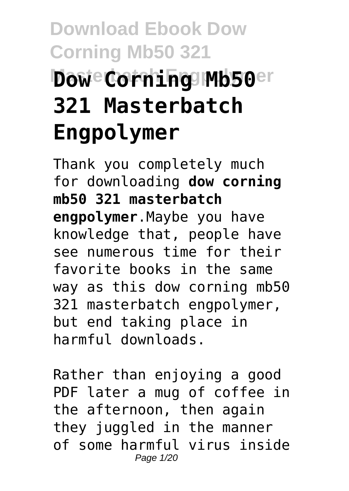# **Download Ebook Dow Corning Mb50 321 Mowe Corning Mb50er 321 Masterbatch Engpolymer**

Thank you completely much for downloading **dow corning mb50 321 masterbatch engpolymer**.Maybe you have knowledge that, people have see numerous time for their favorite books in the same way as this dow corning mb50 321 masterbatch engpolymer, but end taking place in harmful downloads.

Rather than enjoying a good PDF later a mug of coffee in the afternoon, then again they juggled in the manner of some harmful virus inside Page 1/20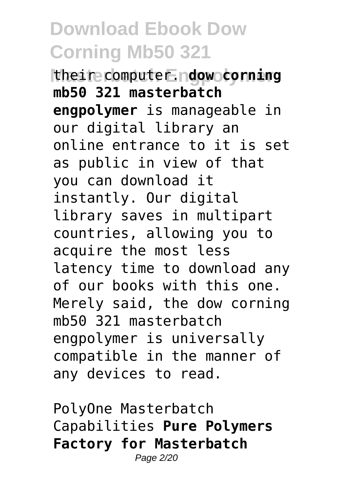**Mather computer Endow corning mb50 321 masterbatch engpolymer** is manageable in our digital library an online entrance to it is set as public in view of that you can download it instantly. Our digital library saves in multipart countries, allowing you to acquire the most less latency time to download any of our books with this one. Merely said, the dow corning mb50 321 masterbatch engpolymer is universally compatible in the manner of any devices to read.

PolyOne Masterbatch Capabilities **Pure Polymers Factory for Masterbatch** Page 2/20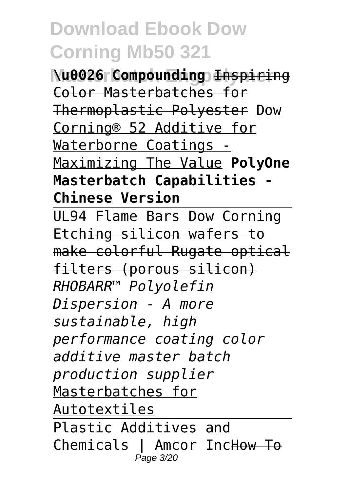**Masterbatch Engpolymer \u0026 Compounding** Inspiring Color Masterbatches for Thermoplastic Polyester Dow Corning® 52 Additive for Waterborne Coatings - Maximizing The Value **PolyOne Masterbatch Capabilities - Chinese Version**

UL94 Flame Bars Dow Corning Etching silicon wafers to make colorful Rugate optical filters (porous silicon) *RHOBARR™ Polyolefin Dispersion - A more sustainable, high performance coating color additive master batch production supplier* Masterbatches for Autotextiles Plastic Additives and Chemicals | Amcor IncHow To Page 3/20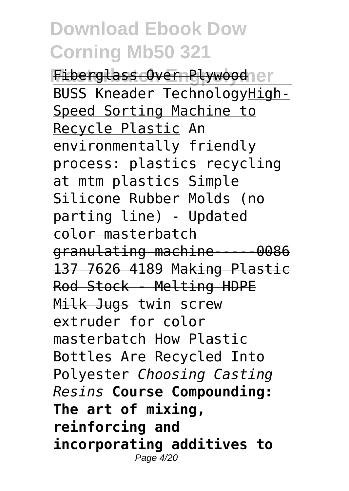Fiberglass Over Plywood<sub>le</sub>r BUSS Kneader TechnologyHigh-Speed Sorting Machine to Recycle Plastic An environmentally friendly process: plastics recycling at mtm plastics Simple Silicone Rubber Molds (no parting line) - Updated color masterbatch granulating machine-----0086 137 7626 4189 Making Plastic Rod Stock - Melting HDPE Milk Jugs twin screw extruder for color masterbatch How Plastic Bottles Are Recycled Into Polyester *Choosing Casting Resins* **Course Compounding: The art of mixing, reinforcing and incorporating additives to** Page 4/20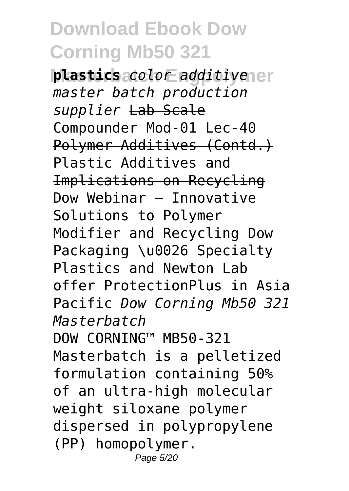**plastics** additivener *master batch production supplier* Lab Scale Compounder Mod-01 Lec-40 Polymer Additives (Contd.) Plastic Additives and Implications on Recycling Dow Webinar – Innovative Solutions to Polymer Modifier and Recycling Dow Packaging \u0026 Specialty Plastics and Newton Lab offer ProtectionPlus in Asia Pacific *Dow Corning Mb50 321 Masterbatch* DOW CORNING™ MB50-321 Masterbatch is a pelletized formulation containing 50% of an ultra-high molecular weight siloxane polymer dispersed in polypropylene (PP) homopolymer. Page 5/20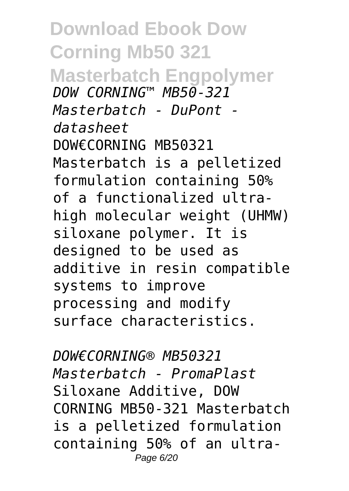**Download Ebook Dow Corning Mb50 321 Masterbatch Engpolymer** *DOW CORNING™ MB50-321 Masterbatch - DuPont datasheet* DOW€CORNING MB50321 Masterbatch is a pelletized formulation containing 50% of a functionalized ultrahigh molecular weight (UHMW) siloxane polymer. It is designed to be used as additive in resin compatible systems to improve processing and modify surface characteristics.

*DOW€CORNING® MB50321 Masterbatch - PromaPlast* Siloxane Additive, DOW CORNING MB50-321 Masterbatch is a pelletized formulation containing 50% of an ultra-Page 6/20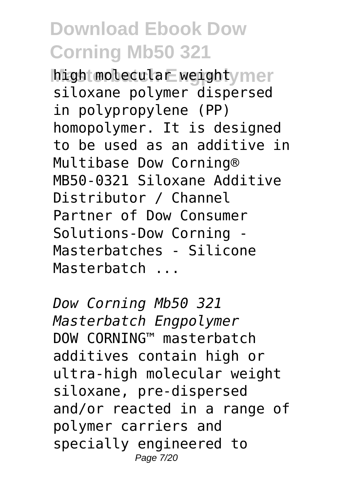high molecular weight mer siloxane polymer dispersed in polypropylene (PP) homopolymer. It is designed to be used as an additive in Multibase Dow Corning® MB50-0321 Siloxane Additive Distributor / Channel Partner of Dow Consumer Solutions-Dow Corning - Masterbatches - Silicone Masterbatch ...

*Dow Corning Mb50 321 Masterbatch Engpolymer* DOW CORNING™ masterbatch additives contain high or ultra-high molecular weight siloxane, pre-dispersed and/or reacted in a range of polymer carriers and specially engineered to Page 7/20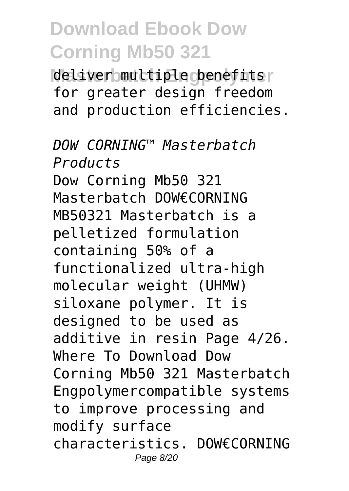deliver multiple denefits for greater design freedom and production efficiencies.

*DOW CORNING™ Masterbatch Products* Dow Corning Mb50 321 Masterbatch DOW€CORNING MB50321 Masterbatch is a pelletized formulation containing 50% of a functionalized ultra-high molecular weight (UHMW) siloxane polymer. It is designed to be used as additive in resin Page 4/26. Where To Download Dow Corning Mb50 321 Masterbatch Engpolymercompatible systems to improve processing and modify surface characteristics. DOW€CORNING Page 8/20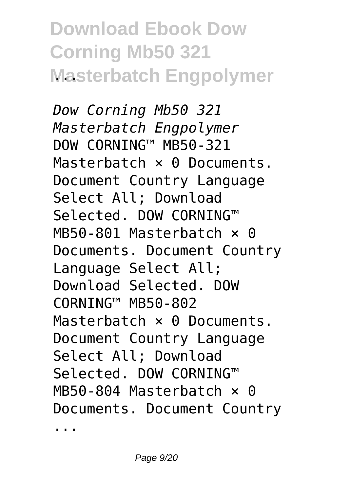# **Download Ebook Dow Corning Mb50 321 Masterbatch Engpolymer**

*Dow Corning Mb50 321 Masterbatch Engpolymer* DOW CORNING™ MB50-321 Masterbatch x 0 Documents Document Country Language Select All; Download Selected. DOW CORNING™ MB50-801 Masterbatch × 0 Documents. Document Country Language Select All; Download Selected. DOW CORNING™ MB50-802 Masterbatch × 0 Documents. Document Country Language Select All; Download Selected. DOW CORNING™ MB50-804 Masterbatch  $\times$  0 Documents. Document Country

...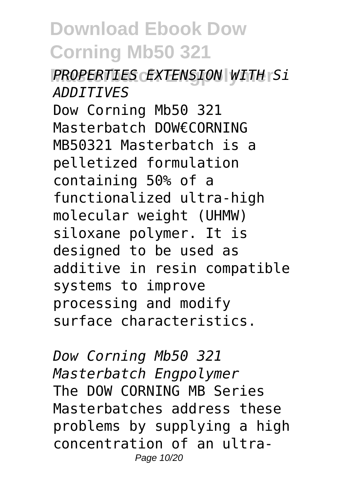#### **Masterbatch Engpolymer** *PROPERTIES EXTENSION WITH Si ADDITIVES*

Dow Corning Mb50 321 Masterbatch DOW€CORNING MB50321 Masterbatch is a pelletized formulation containing 50% of a functionalized ultra-high molecular weight (UHMW) siloxane polymer. It is designed to be used as additive in resin compatible systems to improve processing and modify surface characteristics.

*Dow Corning Mb50 321 Masterbatch Engpolymer* The DOW CORNING MB Series Masterbatches address these problems by supplying a high concentration of an ultra-Page 10/20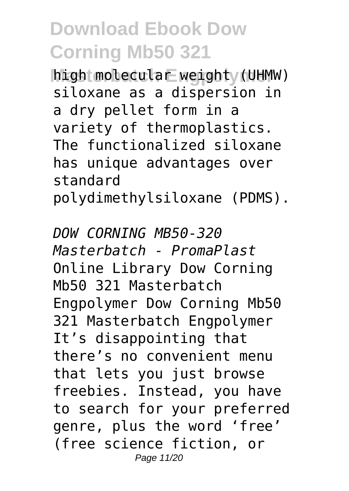high molecular weight (UHMW) siloxane as a dispersion in a dry pellet form in a variety of thermoplastics. The functionalized siloxane has unique advantages over standard polydimethylsiloxane (PDMS).

*DOW CORNING MB50-320 Masterbatch - PromaPlast* Online Library Dow Corning Mb50 321 Masterbatch Engpolymer Dow Corning Mb50 321 Masterbatch Engpolymer It's disappointing that there's no convenient menu that lets you just browse freebies. Instead, you have to search for your preferred genre, plus the word 'free' (free science fiction, or Page 11/20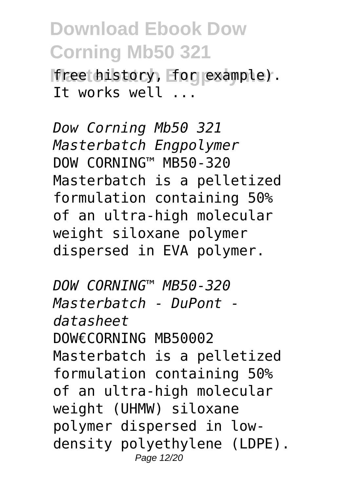free history, for example). It works well ...

*Dow Corning Mb50 321 Masterbatch Engpolymer* DOW CORNING™ MB50-320 Masterbatch is a pelletized formulation containing 50% of an ultra-high molecular weight siloxane polymer dispersed in EVA polymer.

*DOW CORNING™ MB50-320 Masterbatch - DuPont datasheet* DOW€CORNING MB50002 Masterbatch is a pelletized formulation containing 50% of an ultra-high molecular weight (UHMW) siloxane polymer dispersed in lowdensity polyethylene (LDPE). Page 12/20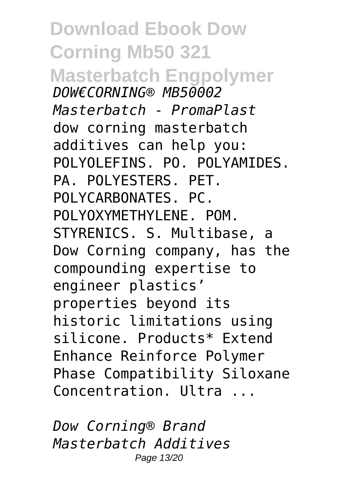**Download Ebook Dow Corning Mb50 321 Masterbatch Engpolymer** *DOW€CORNING® MB50002 Masterbatch - PromaPlast* dow corning masterbatch additives can help you: POLYOLEFINS. PO. POLYAMIDES. PA. POLYESTERS. PET. POLYCARBONATES. PC. POLYOXYMETHYLENE. POM. STYRENICS. S. Multibase, a Dow Corning company, has the compounding expertise to engineer plastics' properties beyond its historic limitations using silicone. Products\* Extend Enhance Reinforce Polymer Phase Compatibility Siloxane Concentration. Ultra ...

*Dow Corning® Brand Masterbatch Additives* Page 13/20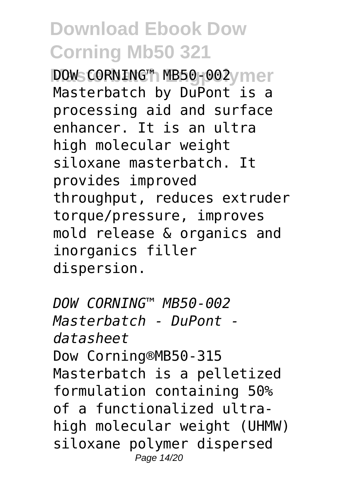**DOWs CORNING™ MB50-002 vmer** Masterbatch by DuPont is a processing aid and surface enhancer. It is an ultra high molecular weight siloxane masterbatch. It provides improved throughput, reduces extruder torque/pressure, improves mold release & organics and inorganics filler dispersion.

*DOW CORNING™ MB50-002 Masterbatch - DuPont datasheet* Dow Corning®MB50-315 Masterbatch is a pelletized formulation containing 50% of a functionalized ultrahigh molecular weight (UHMW) siloxane polymer dispersed Page 14/20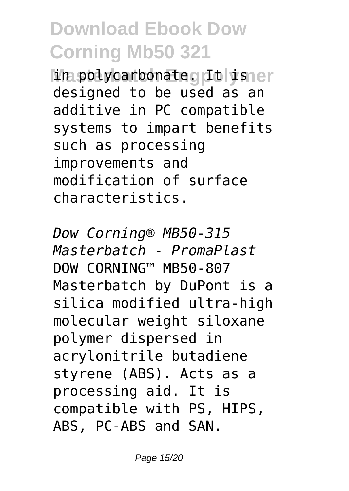in polycarbonate. It is er designed to be used as an additive in PC compatible systems to impart benefits such as processing improvements and modification of surface characteristics.

*Dow Corning® MB50-315 Masterbatch - PromaPlast* DOW CORNING™ MB50-807 Masterbatch by DuPont is a silica modified ultra-high molecular weight siloxane polymer dispersed in acrylonitrile butadiene styrene (ABS). Acts as a processing aid. It is compatible with PS, HIPS, ABS, PC-ABS and SAN.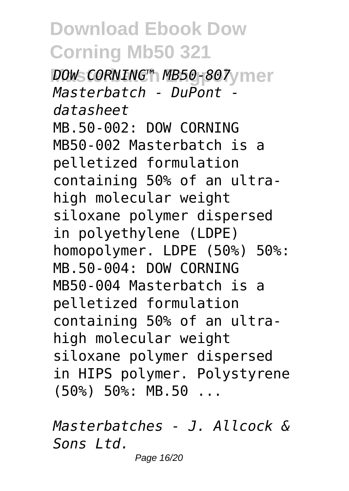**DOW CORNING™ MB50-807 mer** *Masterbatch - DuPont datasheet* MB.50-002: DOW CORNING MB50-002 Masterbatch is a pelletized formulation containing 50% of an ultrahigh molecular weight siloxane polymer dispersed in polyethylene (LDPE) homopolymer. LDPE (50%) 50%: MB.50-004: DOW CORNING MB50-004 Masterbatch is a pelletized formulation containing 50% of an ultrahigh molecular weight siloxane polymer dispersed in HIPS polymer. Polystyrene (50%) 50%: MB.50 ...

*Masterbatches - J. Allcock & Sons Ltd.*

Page 16/20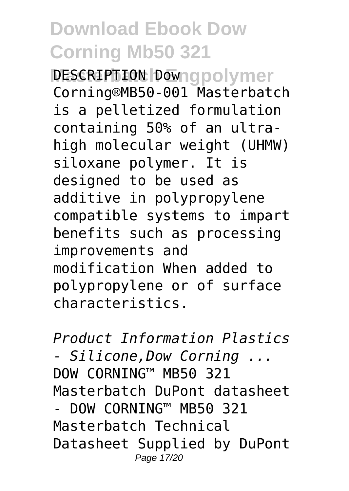**DESCRIPTION Downapolymer** Corning®MB50-001 Masterbatch is a pelletized formulation containing 50% of an ultrahigh molecular weight (UHMW) siloxane polymer. It is designed to be used as additive in polypropylene compatible systems to impart benefits such as processing improvements and modification When added to polypropylene or of surface characteristics.

*Product Information Plastics - Silicone,Dow Corning ...* DOW CORNING™ MB50 321 Masterbatch DuPont datasheet DOW CORNING™ MB50 321 Masterbatch Technical Datasheet Supplied by DuPont Page 17/20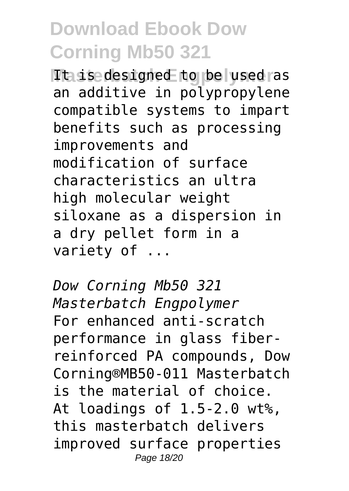**Ttaisedesigned to be used as** an additive in polypropylene compatible systems to impart benefits such as processing improvements and modification of surface characteristics an ultra high molecular weight siloxane as a dispersion in a dry pellet form in a variety of ...

*Dow Corning Mb50 321 Masterbatch Engpolymer* For enhanced anti-scratch performance in glass fiberreinforced PA compounds, Dow Corning®MB50-011 Masterbatch is the material of choice. At loadings of 1.5-2.0 wt%, this masterbatch delivers improved surface properties Page 18/20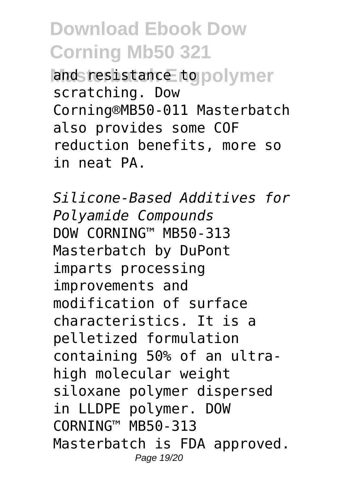and resistance to polymer scratching. Dow Corning®MB50-011 Masterbatch also provides some COF reduction benefits, more so in neat PA.

*Silicone-Based Additives for Polyamide Compounds* DOW CORNING™ MB50-313 Masterbatch by DuPont imparts processing improvements and modification of surface characteristics. It is a pelletized formulation containing 50% of an ultrahigh molecular weight siloxane polymer dispersed in LLDPE polymer. DOW CORNING™ MB50-313 Masterbatch is FDA approved. Page 19/20